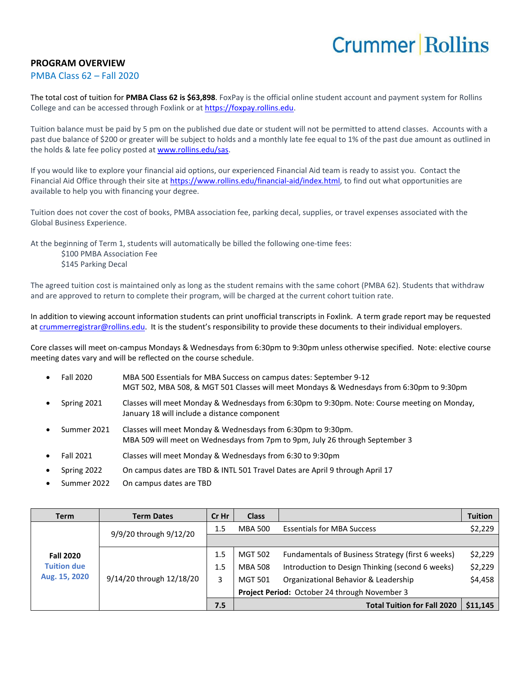## **Crummer Rollins**

## **PROGRAM OVERVIEW**

#### PMBA Class 62 – Fall 2020

The total cost of tuition for **PMBA Class 62 is \$63,898**. FoxPay is the official online student account and payment system for Rollins College and can be accessed through Foxlink or a[t https://foxpay.rollins.edu.](https://foxpay.rollins.edu/)

Tuition balance must be paid by 5 pm on the published due date or student will not be permitted to attend classes. Accounts with a past due balance of \$200 or greater will be subject to holds and a monthly late fee equal to 1% of the past due amount as outlined in the holds & late fee policy posted at [www.rollins.edu/sas.](http://www.rollins.edu/sas)

If you would like to explore your financial aid options, our experienced Financial Aid team is ready to assist you. Contact the Financial Aid Office through their site at [https://www.rollins.edu/financial-aid/index.html,](https://www.rollins.edu/financial-aid/index.html) to find out what opportunities are available to help you with financing your degree.

Tuition does not cover the cost of books, PMBA association fee, parking decal, supplies, or travel expenses associated with the Global Business Experience.

At the beginning of Term 1, students will automatically be billed the following one-time fees:

\$100 PMBA Association Fee \$145 Parking Decal

The agreed tuition cost is maintained only as long as the student remains with the same cohort (PMBA 62). Students that withdraw and are approved to return to complete their program, will be charged at the current cohort tuition rate.

In addition to viewing account information students can print unofficial transcripts in Foxlink. A term grade report may be requested a[t crummerregistrar@rollins.edu.](mailto:crummerregistrar@rollins.edu) It is the student's responsibility to provide these documents to their individual employers.

Core classes will meet on-campus Mondays & Wednesdays from 6:30pm to 9:30pm unless otherwise specified. Note: elective course meeting dates vary and will be reflected on the course schedule.

- Fall 2020 MBA 500 Essentials for MBA Success on campus dates: September 9-12 MGT 502, MBA 508, & MGT 501 Classes will meet Mondays & Wednesdays from 6:30pm to 9:30pm
- Spring 2021 Classes will meet Monday & Wednesdays from 6:30pm to 9:30pm. Note: Course meeting on Monday, January 18 will include a distance component
- Summer 2021 Classes will meet Monday & Wednesdays from 6:30pm to 9:30pm. MBA 509 will meet on Wednesdays from 7pm to 9pm, July 26 through September 3
- Fall 2021 Classes will meet Monday & Wednesdays from 6:30 to 9:30pm
- Spring 2022 On campus dates are TBD & INTL 501 Travel Dates are April 9 through April 17
- Summer 2022 On campus dates are TBD

| <b>Term</b>                                             | <b>Term Dates</b>        | Cr Hr | <b>Class</b>                                  |                                                   | <b>Tuition</b> |
|---------------------------------------------------------|--------------------------|-------|-----------------------------------------------|---------------------------------------------------|----------------|
| <b>Fall 2020</b><br><b>Tuition due</b><br>Aug. 15, 2020 | 9/9/20 through 9/12/20   | 1.5   | <b>MBA 500</b>                                | <b>Essentials for MBA Success</b>                 | \$2,229        |
|                                                         |                          |       |                                               |                                                   |                |
|                                                         | 9/14/20 through 12/18/20 | 1.5   | <b>MGT 502</b>                                | Fundamentals of Business Strategy (first 6 weeks) | \$2,229        |
|                                                         |                          | 1.5   | <b>MBA 508</b>                                | Introduction to Design Thinking (second 6 weeks)  | \$2,229        |
|                                                         |                          | 3     | <b>MGT 501</b>                                | Organizational Behavior & Leadership              | \$4,458        |
|                                                         |                          |       | Project Period: October 24 through November 3 |                                                   |                |
|                                                         |                          | 7.5   |                                               | <b>Total Tuition for Fall 2020</b>                | \$11,145       |